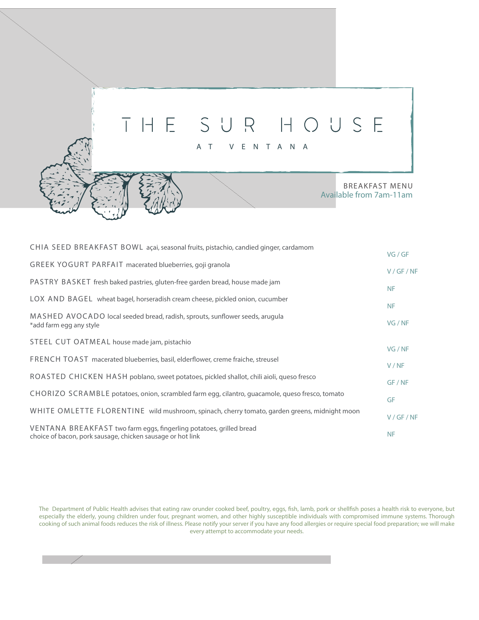## THE SUR HOUSE

AT VENTANA

BREAKFAST MENU Available from 7am-11am

| CHIA SEED BREAKFAST BOWL açai, seasonal fruits, pistachio, candied ginger, cardamom                                               |           |
|-----------------------------------------------------------------------------------------------------------------------------------|-----------|
|                                                                                                                                   | VG/GF     |
| <b>GREEK YOGURT PARFAIT macerated blueberries, goji granola</b>                                                                   | V/GF/NF   |
| PASTRY BASKET fresh baked pastries, gluten-free garden bread, house made jam                                                      | <b>NF</b> |
| LOX AND BAGEL wheat bagel, horseradish cream cheese, pickled onion, cucumber                                                      | <b>NF</b> |
| MASHED AVOCADO local seeded bread, radish, sprouts, sunflower seeds, arugula<br>*add farm egg any style                           | VG / NF   |
| STEEL CUT OATMEAL house made jam, pistachio                                                                                       | VG / NF   |
| FRENCH TOAST macerated blueberries, basil, elderflower, creme fraiche, streusel                                                   | V/NF      |
| ROASTED CHICKEN HASH poblano, sweet potatoes, pickled shallot, chili aioli, queso fresco                                          | GF / NF   |
| CHORIZO SCRAMBLE potatoes, onion, scrambled farm egg, cilantro, guacamole, queso fresco, tomato                                   | GF        |
| WHITE OMLETTE FLORENTINE wild mushroom, spinach, cherry tomato, garden greens, midnight moon                                      | V/GF/NF   |
| VENTANA BREAKFAST two farm eggs, fingerling potatoes, grilled bread<br>choice of bacon, pork sausage, chicken sausage or hot link | <b>NF</b> |
|                                                                                                                                   |           |

The Department of Public Health advises that eating raw orunder cooked beef, poultry, eggs, fish, lamb, pork or shellfish poses a health risk to everyone, but especially the elderly, young children under four, pregnant women, and other highly susceptible individuals with compromised immune systems. Thorough cooking of such animal foods reduces the risk of illness. Please notify your server if you have any food allergies or require special food preparation; we will make every attempt to accommodate your needs.